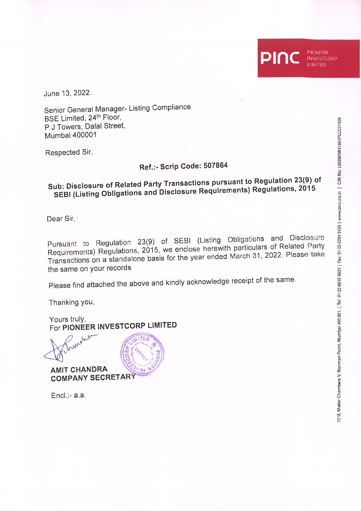June 13, 2022.

Senior General Manager- Listing Compliance BSE Limited, 24th Floor, P J Towers, Dalal Street, **Mumbai 400001** 

Respected Sir,

## Ref.:- Scrip Code: 507864

## Sub: Disclosure of Related Party Transactions pursuant to Regulation 23(9) of SEBI (Listing Obligations and Disclosure Requirements) Regulations, 2015

Dear Sir.<sup>®</sup>

Pursuant to Regulation 23(9) of SEBI (Listing Obligations and Disclosure Requirements) Regulations, 2015, we enclose herewith particulars of Related Party Transactions on a standalone basis for the year ended March 31, 2022. Please take the same on your records

Please find attached the above and kindly acknowledge receipt of the same.

Thanking you,

Yours truly, For PIONEER INVESTCORP LIMITED



**AMIT CHANDRA COMPANY SECRETARY** 

 $Encl. - a.a.$ 

PIONEER

**INVESTCORP** LIMITED

DI